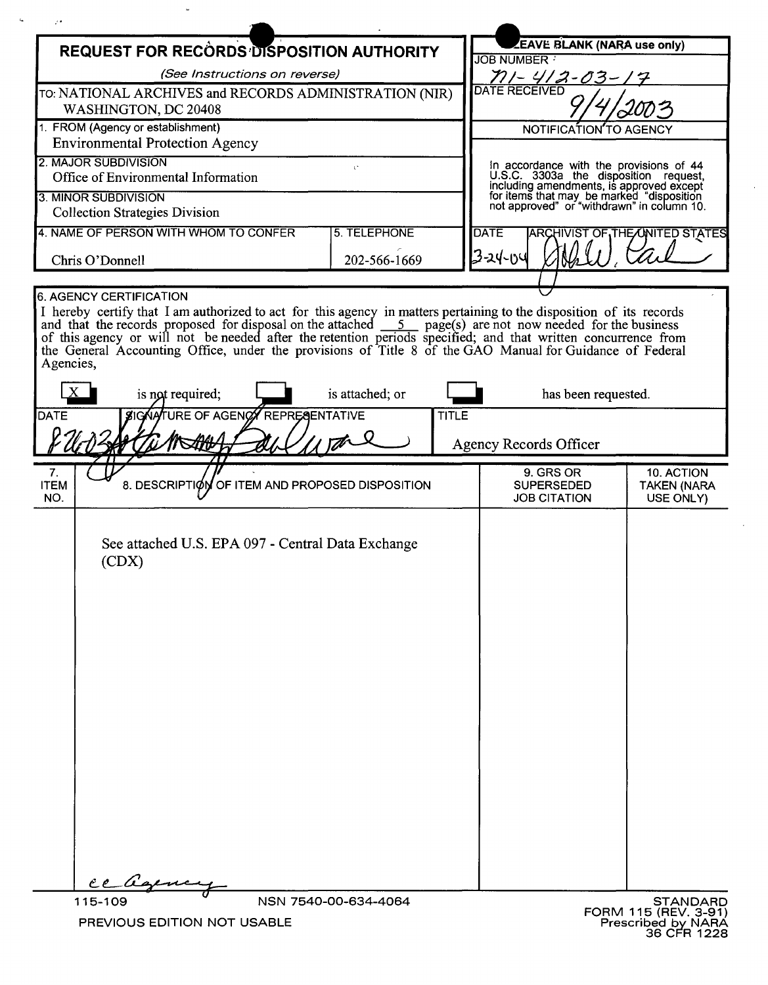| <b>REQUEST FOR RECORDS DISPOSITION AUTHORITY</b>                                                                                                                                                                                                                                                                                                                          |                      |                                         | <b>EAVE BLANK (NARA use only)</b><br>JOB NUMBER                                                                                                                              |                                               |
|---------------------------------------------------------------------------------------------------------------------------------------------------------------------------------------------------------------------------------------------------------------------------------------------------------------------------------------------------------------------------|----------------------|-----------------------------------------|------------------------------------------------------------------------------------------------------------------------------------------------------------------------------|-----------------------------------------------|
| (See Instructions on reverse)                                                                                                                                                                                                                                                                                                                                             |                      |                                         | 711 - 412-03 -                                                                                                                                                               |                                               |
| TO: NATIONAL ARCHIVES and RECORDS ADMINISTRATION (NIR)                                                                                                                                                                                                                                                                                                                    |                      | <b>DATE RECEIVED</b>                    |                                                                                                                                                                              |                                               |
| WASHINGTON, DC 20408                                                                                                                                                                                                                                                                                                                                                      |                      |                                         |                                                                                                                                                                              |                                               |
| 1. FROM (Agency or establishment)<br><b>Environmental Protection Agency</b>                                                                                                                                                                                                                                                                                               |                      | NOTIFICATION TO AGENCY                  |                                                                                                                                                                              |                                               |
| 2. MAJOR SUBDIVISION                                                                                                                                                                                                                                                                                                                                                      |                      | In accordance with the provisions of 44 |                                                                                                                                                                              |                                               |
| U.<br>Office of Environmental Information                                                                                                                                                                                                                                                                                                                                 |                      |                                         |                                                                                                                                                                              |                                               |
| 3. MINOR SUBDIVISION<br><b>Collection Strategies Division</b>                                                                                                                                                                                                                                                                                                             |                      |                                         | U.S.C. 3303a the disposition request,<br>including amendments, is approved except<br>for items that may be marked "disposition<br>not approved" or "withdrawn" in column 10. |                                               |
| 4. NAME OF PERSON WITH WHOM TO CONFER<br>5. TELEPHONE                                                                                                                                                                                                                                                                                                                     |                      | <b>DATE</b>                             | <b>ARCHIVIST OF THE ONITED STATES</b>                                                                                                                                        |                                               |
| Chris O'Donnell                                                                                                                                                                                                                                                                                                                                                           | 202-566-1669         |                                         | 13-24-04                                                                                                                                                                     |                                               |
| 6. AGENCY CERTIFICATION                                                                                                                                                                                                                                                                                                                                                   |                      |                                         |                                                                                                                                                                              |                                               |
| I hereby certify that I am authorized to act for this agency in matters pertaining to the disposition of its records<br>and that the records proposed for disposal on the attached 5 page(s) are not now needed for the business<br>of this agency or will not be needed after the retention periods specified; and that written concurrence from<br>the Gen<br>Agencies, |                      |                                         |                                                                                                                                                                              |                                               |
| is not required;                                                                                                                                                                                                                                                                                                                                                          | is attached; or      |                                         | has been requested.                                                                                                                                                          |                                               |
| SIGNATURE OF AGENCY REPRESENTATIVE<br><b>DATE</b>                                                                                                                                                                                                                                                                                                                         |                      | TITLE                                   |                                                                                                                                                                              |                                               |
|                                                                                                                                                                                                                                                                                                                                                                           |                      | <b>Agency Records Officer</b>           |                                                                                                                                                                              |                                               |
| 7.<br>8. DESCRIPTION OF ITEM AND PROPOSED DISPOSITION<br><b>ITEM</b><br>NO.                                                                                                                                                                                                                                                                                               |                      |                                         | 9. GRS OR<br><b>SUPERSEDED</b><br><b>JOB CITATION</b>                                                                                                                        | 10. ACTION<br><b>TAKEN (NARA</b><br>USE ONLY) |
| See attached U.S. EPA 097 - Central Data Exchange<br>(CDX)<br>ce a                                                                                                                                                                                                                                                                                                        |                      |                                         |                                                                                                                                                                              |                                               |
| 115-109                                                                                                                                                                                                                                                                                                                                                                   | NSN 7540-00-634-4064 |                                         |                                                                                                                                                                              | <b>STANDARD</b><br>FORM 115 (REV. 3-91)       |

 $\omega$ 

 $\bar{b}_\text{th}$ 

 $\mathcal{L}$ 

 $\hat{\boldsymbol{r}}$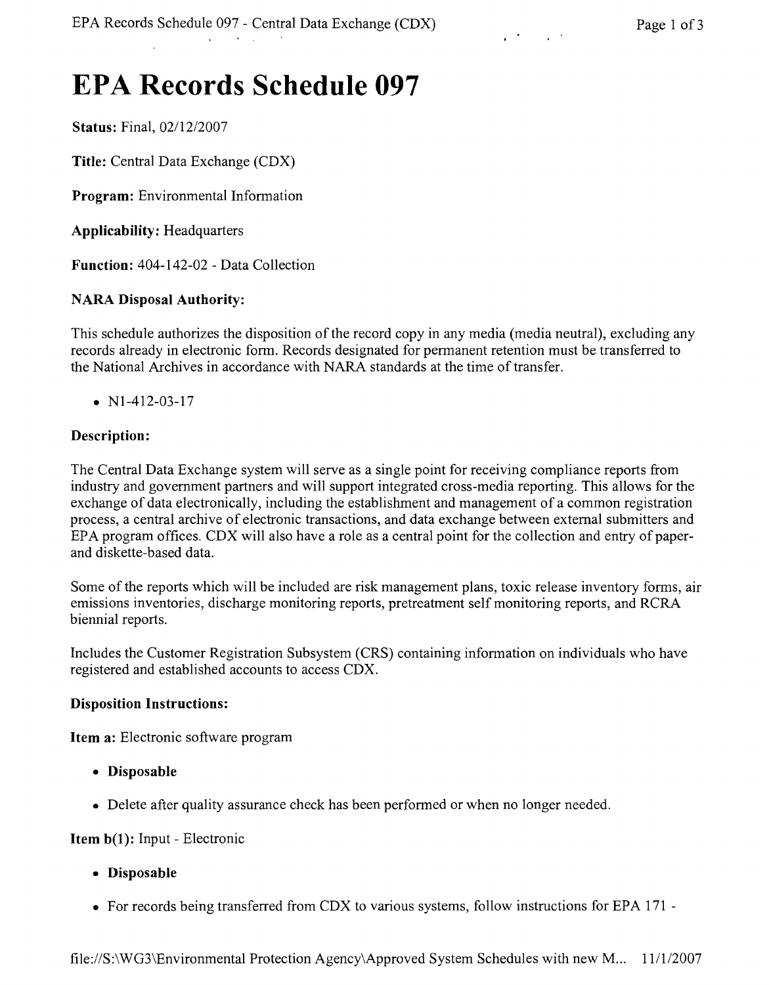# **EPA Records Schedule 097**

Status: Final,  $02/12/2007$ 

Title: Central Data Exchange (CDX)

Program: Environmental Information

Applicability: Headquarters

Function: 404-142-02 - Data Collection

## NARA Disposal Authority:

This schedule authorizes the disposition of the record copy in any media (media neutral), excluding any records already in electronic form. Records designated for permanent retention must be transferred to the National Archives in accordance with NARA standards at the time of transfer.

•  $N1-412-03-17$ 

## Description:

The Central Data Exchange system will serve as a single point for receiving compliance reports from industry and government partners and will support integrated cross-media reporting. This allows for the exchange of data electronically, including the establishment and management of a common registration process, a central archive of electronic transactions, and data exchange between external submitters and EPA program offices. CDX will also have a role as a central point for the collection and entry of paperand diskette-based data.

Some of the reports which will be included are risk management plans, toxic release inventory forms, air emissions inventories, discharge monitoring reports, pretreatment self monitoring reports, and RCRA biennial reports.

Includes the Customer Registration Subsystem (CRS) containing information on individuals who have registered and established accounts to access CDX.

#### Disposition Instructions:

Item a: Electronic software program

- Disposable
- Delete after quality assurance check has been performed or when no longer needed.

#### Item b(l): Input - Electronic

- Disposable
- For records being transferred from CDX to various systems, follow instructions for EPA 171 -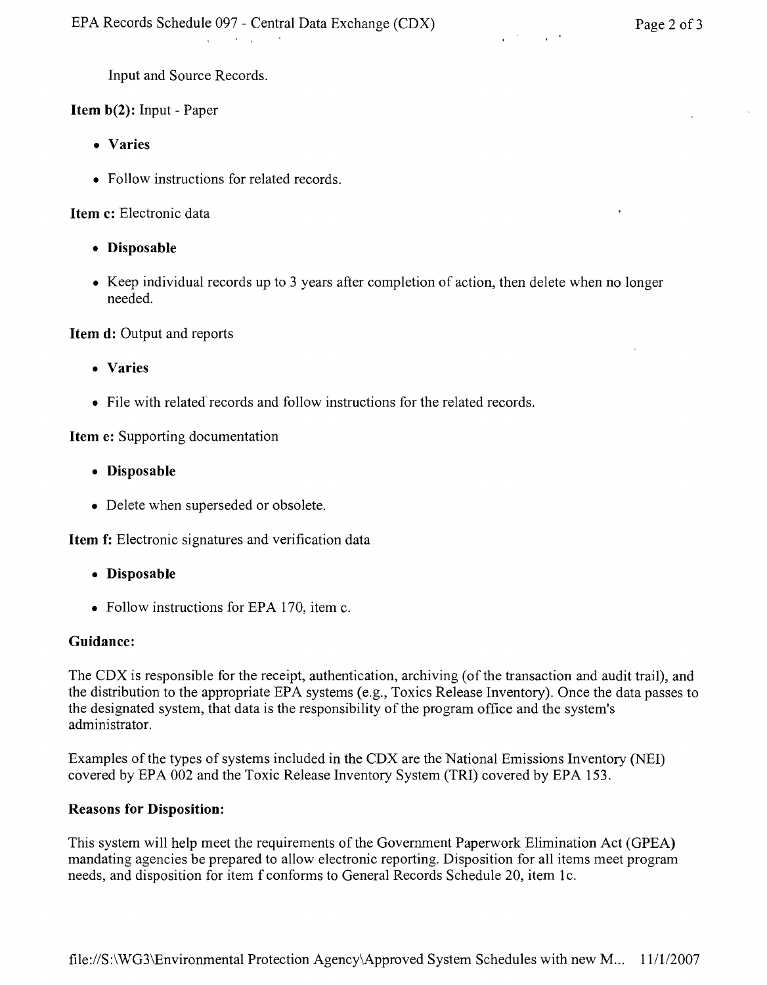Input and Source Records.

Item b(2): Input - Paper

- • Varies
- Follow instructions for related records.

and the property of the part

Item c: Electronic data

- • Disposable
- Keep individual records up to 3 years after completion of action, then delete when no longer needed.

Item d: Output and reports

- • Varies
- $\bullet$  File with related records and follow instructions for the related records.

Item e: Supporting documentation

- • Disposable
- Delete when superseded or obsolete.

Item f: Electronic signatures and verification data

- • Disposable
- Follow instructions for EPA 170, item c.

#### Guidance:

The CDX is responsible for the receipt, authentication, archiving (of the transaction and audit trail), and the distribution to the appropriate EPA systems (e.g., Toxics Release Inventory). Once the data passes to the designated system, that data is the responsibility of the program office and the system's administrator.

Examples of the types of systems included in the CDX are the National Emissions Inventory (NEI) covered by EPA 002 and the Toxic Release Inventory System (TRI) covered by EPA 153.

#### Reasons for Disposition:

This system will help meet the requirements of the Government Paperwork Elimination Act (GPEA) mandating agencies be prepared to allow electronic reporting. Disposition for all items meet program needs, and disposition for item f conforms to General Records Schedule 20, item 1c.